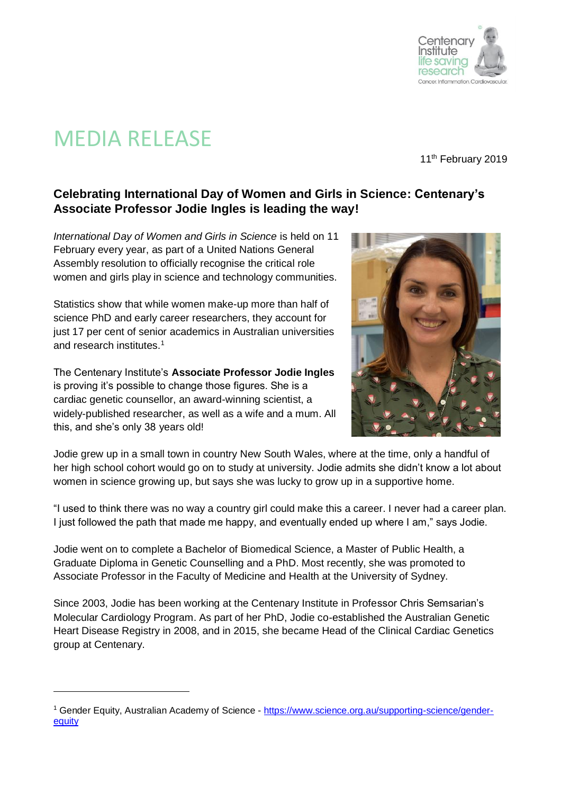

## MEDIA RELEASE

l

11<sup>th</sup> February 2019

## **Celebrating International Day of Women and Girls in Science: Centenary's Associate Professor Jodie Ingles is leading the way!**

*International Day of Women and Girls in Science* is held on 11 February every year, as part of a United Nations General Assembly resolution to officially recognise the critical role women and girls play in science and technology communities.

Statistics show that while women make-up more than half of science PhD and early career researchers, they account for just 17 per cent of senior academics in Australian universities and research institutes.<sup>1</sup>

The Centenary Institute's **Associate Professor Jodie Ingles** is proving it's possible to change those figures. She is a cardiac genetic counsellor, an award-winning scientist, a widely-published researcher, as well as a wife and a mum. All this, and she's only 38 years old!



Jodie grew up in a small town in country New South Wales, where at the time, only a handful of her high school cohort would go on to study at university. Jodie admits she didn't know a lot about women in science growing up, but says she was lucky to grow up in a supportive home.

"I used to think there was no way a country girl could make this a career. I never had a career plan. I just followed the path that made me happy, and eventually ended up where I am," says Jodie.

Jodie went on to complete a Bachelor of Biomedical Science, a Master of Public Health, a Graduate Diploma in Genetic Counselling and a PhD. Most recently, she was promoted to Associate Professor in the Faculty of Medicine and Health at the University of Sydney.

Since 2003, Jodie has been working at the Centenary Institute in Professor Chris Semsarian's Molecular Cardiology Program. As part of her PhD, Jodie co-established the Australian Genetic Heart Disease Registry in 2008, and in 2015, she became Head of the Clinical Cardiac Genetics group at Centenary.

<sup>1</sup> Gender Equity, Australian Academy of Science - [https://www.science.org.au/supporting-science/gender](https://www.science.org.au/supporting-science/gender-equity)[equity](https://www.science.org.au/supporting-science/gender-equity)